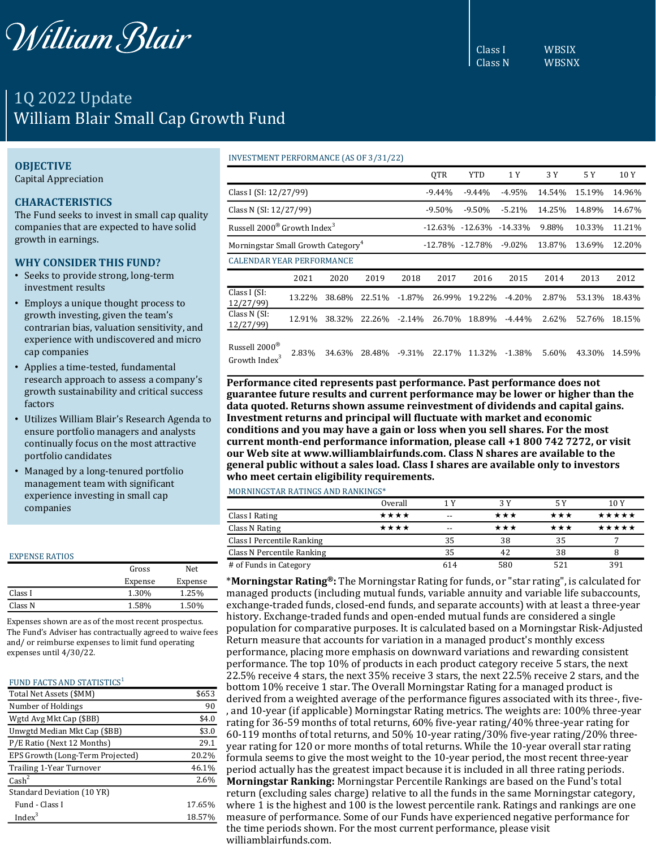

# 1Q 2022 Update William Blair Small Cap Growth Fund

## **OBJECTIVE**

Capital Appreciation

# **CHARACTERISTICS**

The Fund seeks to invest in small cap quality companies that are expected to have solid growth in earnings.

### **WHY CONSIDER THIS FUND?**

- Seeks to provide strong, long-term investment results
- Employs a unique thought process to growth investing, given the team's contrarian bias, valuation sensitivity, and experience with undiscovered and micro cap companies
- Applies a time-tested, fundamental research approach to assess a company's growth sustainability and critical success factors
- Utilizes William Blair's Research Agenda to ensure portfolio managers and analysts continually focus on the most attractive portfolio candidates
- Managed by a long-tenured portfolio management team with significant experience investing in small cap companies

#### EXPENSE RATIOS

|         | Gross   | Net     |  |
|---------|---------|---------|--|
|         | Expense | Expense |  |
| Class I | 1.30%   | 1.25%   |  |
| Class N | 1.58%   | 1.50%   |  |

Expenses shown are as of the most recent prospectus. The Fund's Adviser has contractually agreed to waive fees and/ or reimburse expenses to limit fund operating expenses until 4/30/22.

## FUND FACTS AND STATISTICS<sup>1</sup>

| Total Net Assets (\$MM)          | \$653  |
|----------------------------------|--------|
| Number of Holdings               | 90     |
| Wgtd Avg Mkt Cap (\$BB)          | \$4.0  |
| Unwgtd Median Mkt Cap (\$BB)     | \$3.0  |
| P/E Ratio (Next 12 Months)       | 29.1   |
| EPS Growth (Long-Term Projected) | 20.2%  |
| Trailing 1-Year Turnover         | 46.1%  |
| Cash <sup>2</sup>                | 2.6%   |
| Standard Deviation (10 YR)       |        |
| Fund - Class I                   | 17.65% |
| Index <sup>3</sup>               | 18.57% |

#### INVESTMENT PERFORMANCE (AS OF 3/31/22)

|                                                                        |        |        |          |           | <b>OTR</b> | <b>YTD</b>      | 1 Y       | 3 Y    | 5 Y    | 10 Y   |
|------------------------------------------------------------------------|--------|--------|----------|-----------|------------|-----------------|-----------|--------|--------|--------|
| Class I (SI: 12/27/99)                                                 |        |        |          |           | $-9.44%$   | $-9.44%$        | $-4.95%$  | 14.54% | 15.19% | 14.96% |
| Class N (SI: 12/27/99)                                                 |        |        | $-9.50%$ | $-9.50%$  | $-5.21%$   | 14.25%          | 14.89%    | 14.67% |        |        |
| Russell 2000 <sup>®</sup> Growth Index <sup>3</sup><br>-12.63% -12.63% |        |        |          |           | $-14.33\%$ | 9.88%           | 10.33%    | 11.21% |        |        |
| Morningstar Small Growth Category <sup>4</sup>                         |        |        |          |           |            | -12.78% -12.78% | $-9.02\%$ | 13.87% | 13.69% | 12.20% |
| <b>CALENDAR YEAR PERFORMANCE</b>                                       |        |        |          |           |            |                 |           |        |        |        |
|                                                                        | 2021   | 2020   | 2019     | 2018      | 2017       | 2016            | 2015      | 2014   | 2013   | 2012   |
| Class I (SI:<br>12/27/99                                               | 13.22% | 38.68% | 22.51%   | $-1.87\%$ | 26.99%     | 19.22%          | $-4.20%$  | 2.87%  | 53.13% | 18.43% |
| Class N (SI:<br>12/27/99)                                              | 12.91% | 38.32% | 22.26%   | $-2.14%$  | 26.70%     | 18.89%          | $-4.44\%$ | 2.62%  | 52.76% | 18.15% |
| Russell 2000®<br>Growth Index <sup>3</sup>                             | 2.83%  | 34.63% | 28.48%   | $-9.31%$  | 22.17%     | 11.32%          | $-1.38%$  | 5.60%  | 43.30% | 14.59% |

**Performance cited represents past performance. Past performance does not guarantee future results and current performance may be lower or higher than the data quoted. Returns shown assume reinvestment of dividends and capital gains. Investment returns and principal will fluctuate with market and economic conditions and you may have a gain or loss when you sell shares. For the most current month-end performance information, please call +1 800 742 7272, or visit our Web site at www.williamblairfunds.com. Class N shares are available to the general public without a sales load. Class I shares are available only to investors who meet certain eligibility requirements.**

MORNINGSTAR RATINGS AND RANKINGS\*

|                            | Overall | 1 Y | 3 Y | 5 Y | 10 Y  |
|----------------------------|---------|-----|-----|-----|-------|
| Class I Rating             | ****    | --  | *** | *** | ***** |
| Class N Rating             | ****    | --  | *** | *** | ***** |
| Class I Percentile Ranking |         | 35  | 38  | 35  |       |
| Class N Percentile Ranking |         | 35  | 42  | 38  | 8     |
| # of Funds in Category     |         | 614 | 580 | 521 | 391   |

\***Morningstar Rating®:** The Morningstar Rating for funds, or "star rating", is calculated for managed products (including mutual funds, variable annuity and variable life subaccounts, exchange-traded funds, closed-end funds, and separate accounts) with at least a three-year history. Exchange-traded funds and open-ended mutual funds are considered a single population for comparative purposes. It is calculated based on a Morningstar Risk-Adjusted Return measure that accounts for variation in a managed product's monthly excess performance, placing more emphasis on downward variations and rewarding consistent performance. The top 10% of products in each product category receive 5 stars, the next 22.5% receive 4 stars, the next 35% receive 3 stars, the next 22.5% receive 2 stars, and the bottom 10% receive 1 star. The Overall Morningstar Rating for a managed product is derived from a weighted average of the performance figures associated with its three-, five- , and 10-year (if applicable) Morningstar Rating metrics. The weights are: 100% three-year rating for 36-59 months of total returns, 60% five-year rating/40% three-year rating for 60-119 months of total returns, and 50% 10-year rating/30% five-year rating/20% threeyear rating for 120 or more months of total returns. While the 10-year overall star rating formula seems to give the most weight to the 10-year period, the most recent three-year period actually has the greatest impact because it is included in all three rating periods. **Morningstar Ranking:** Morningstar Percentile Rankings are based on the Fund's total return (excluding sales charge) relative to all the funds in the same Morningstar category, where 1 is the highest and 100 is the lowest percentile rank. Ratings and rankings are one measure of performance. Some of our Funds have experienced negative performance for the time periods shown. For the most current performance, please visit williamblairfunds.com.

Class I WBSIX Class N WBSNX